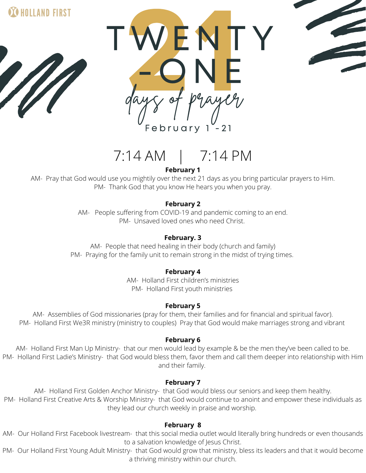

HOLLAND FIRST



# 7:14 AM | 7:14 PM

**February 1**

AM- Pray that God would use you mightily over the next 21 days as you bring particular prayers to Him. PM- Thank God that you know He hears you when you pray.

## **February 2**

AM- People suffering from COVID-19 and pandemic coming to an end. PM- Unsaved loved ones who need Christ.

## **February. 3**

AM- People that need healing in their body (church and family) PM- Praying for the family unit to remain strong in the midst of trying times.

## **February 4**

AM- Holland First children's ministries PM- Holland First youth ministries

## **February 5**

AM- Assemblies of God missionaries (pray for them, their families and for financial and spiritual favor). PM- Holland First We3R ministry (ministry to couples) Pray that God would make marriages strong and vibrant

## **February 6**

AM- Holland First Man Up Ministry- that our men would lead by example & be the men they've been called to be. PM- Holland First Ladie's Ministry- that God would bless them, favor them and call them deeper into relationship with Him and their family.

### **February 7**

AM- Holland First Golden Anchor Ministry- that God would bless our seniors and keep them healthy. PM- Holland First Creative Arts & Worship Ministry- that God would continue to anoint and empower these individuals as they lead our church weekly in praise and worship.

## **February 8**

AM- Our Holland First Facebook livestream- that this social media outlet would literally bring hundreds or even thousands to a salvation knowledge of Jesus Christ.

PM- Our Holland First Young Adult Ministry- that God would grow that ministry, bless its leaders and that it would become a thriving ministry within our church.